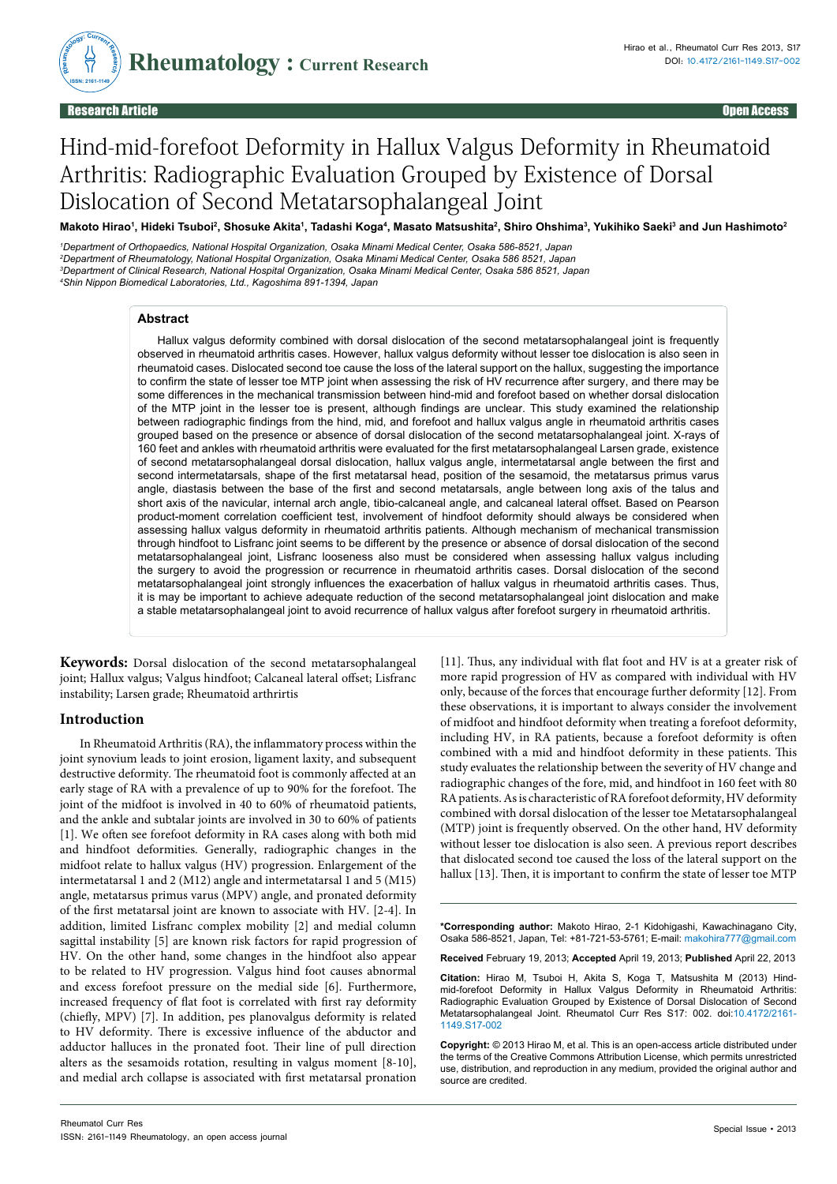

# Hind-mid-forefoot Deformity in Hallux Valgus Deformity in Rheumatoid Arthritis: Radiographic Evaluation Grouped by Existence of Dorsal Dislocation of Second Metatarsophalangeal Joint

Makoto Hirao<sup>ı</sup>, Hideki Tsuboi<sup>2</sup>, Shosuke Akita'ı, Tadashi Koga<del>'</del>, Masato Matsushita<sup>2</sup>, Shiro Ohshima<sup>3</sup>, Yukihiko Saeki<sup>3</sup> and Jun Hashimoto<sup>2</sup>

 *Department of Orthopaedics, National Hospital Organization, Osaka Minami Medical Center, Osaka 586-8521, Japan Department of Rheumatology, National Hospital Organization, Osaka Minami Medical Center, Osaka 586 8521, Japan Department of Clinical Research, National Hospital Organization, Osaka Minami Medical Center, Osaka 586 8521, Japan Shin Nippon Biomedical Laboratories, Ltd., Kagoshima 891-1394, Japan*

### **Abstract**

Hallux valgus deformity combined with dorsal dislocation of the second metatarsophalangeal joint is frequently observed in rheumatoid arthritis cases. However, hallux valgus deformity without lesser toe dislocation is also seen in rheumatoid cases. Dislocated second toe cause the loss of the lateral support on the hallux, suggesting the importance to confirm the state of lesser toe MTP joint when assessing the risk of HV recurrence after surgery, and there may be some differences in the mechanical transmission between hind-mid and forefoot based on whether dorsal dislocation of the MTP joint in the lesser toe is present, although findings are unclear. This study examined the relationship between radiographic findings from the hind, mid, and forefoot and hallux valgus angle in rheumatoid arthritis cases grouped based on the presence or absence of dorsal dislocation of the second metatarsophalangeal joint. X-rays of 160 feet and ankles with rheumatoid arthritis were evaluated for the first metatarsophalangeal Larsen grade, existence of second metatarsophalangeal dorsal dislocation, hallux valgus angle, intermetatarsal angle between the first and second intermetatarsals, shape of the first metatarsal head, position of the sesamoid, the metatarsus primus varus angle, diastasis between the base of the first and second metatarsals, angle between long axis of the talus and short axis of the navicular, internal arch angle, tibio-calcaneal angle, and calcaneal lateral offset. Based on Pearson product-moment correlation coefficient test, involvement of hindfoot deformity should always be considered when assessing hallux valgus deformity in rheumatoid arthritis patients. Although mechanism of mechanical transmission through hindfoot to Lisfranc joint seems to be different by the presence or absence of dorsal dislocation of the second metatarsophalangeal joint, Lisfranc looseness also must be considered when assessing hallux valgus including the surgery to avoid the progression or recurrence in rheumatoid arthritis cases. Dorsal dislocation of the second metatarsophalangeal joint strongly influences the exacerbation of hallux valgus in rheumatoid arthritis cases. Thus, it is may be important to achieve adequate reduction of the second metatarsophalangeal joint dislocation and make a stable metatarsophalangeal joint to avoid recurrence of hallux valgus after forefoot surgery in rheumatoid arthritis.

**Keywords:** Dorsal dislocation of the second metatarsophalangeal joint; Hallux valgus; Valgus hindfoot; Calcaneal lateral offset; Lisfranc instability; Larsen grade; Rheumatoid arthrirtis

## **Introduction**

In Rheumatoid Arthritis (RA), the inflammatory process within the joint synovium leads to joint erosion, ligament laxity, and subsequent destructive deformity. The rheumatoid foot is commonly affected at an early stage of RA with a prevalence of up to 90% for the forefoot. The joint of the midfoot is involved in 40 to 60% of rheumatoid patients, and the ankle and subtalar joints are involved in 30 to 60% of patients [1]. We often see forefoot deformity in RA cases along with both mid and hindfoot deformities. Generally, radiographic changes in the midfoot relate to hallux valgus (HV) progression. Enlargement of the intermetatarsal 1 and 2 (M12) angle and intermetatarsal 1 and 5 (M15) angle, metatarsus primus varus (MPV) angle, and pronated deformity of the first metatarsal joint are known to associate with HV. [2-4]. In addition, limited Lisfranc complex mobility [2] and medial column sagittal instability [5] are known risk factors for rapid progression of HV. On the other hand, some changes in the hindfoot also appear to be related to HV progression. Valgus hind foot causes abnormal and excess forefoot pressure on the medial side [6]. Furthermore, increased frequency of flat foot is correlated with first ray deformity (chiefly, MPV) [7]. In addition, pes planovalgus deformity is related to HV deformity. There is excessive influence of the abductor and adductor halluces in the pronated foot. Their line of pull direction alters as the sesamoids rotation, resulting in valgus moment [8-10], and medial arch collapse is associated with first metatarsal pronation

[11]. Thus, any individual with flat foot and HV is at a greater risk of more rapid progression of HV as compared with individual with HV only, because of the forces that encourage further deformity [12]. From these observations, it is important to always consider the involvement of midfoot and hindfoot deformity when treating a forefoot deformity, including HV, in RA patients, because a forefoot deformity is often combined with a mid and hindfoot deformity in these patients. This study evaluates the relationship between the severity of HV change and radiographic changes of the fore, mid, and hindfoot in 160 feet with 80 RA patients. As is characteristic of RA forefoot deformity, HV deformity combined with dorsal dislocation of the lesser toe Metatarsophalangeal (MTP) joint is frequently observed. On the other hand, HV deformity without lesser toe dislocation is also seen. A previous report describes that dislocated second toe caused the loss of the lateral support on the hallux [13]. Then, it is important to confirm the state of lesser toe MTP

**\*Corresponding author:** Makoto Hirao, 2-1 Kidohigashi, Kawachinagano City, Osaka 586-8521, Japan, Tel: +81-721-53-5761; E-mail: makohira777@gmail.com

**Received** February 19, 2013; **Accepted** April 19, 2013; **Published** April 22, 2013

**Citation:** Hirao M, Tsuboi H, Akita S, Koga T, Matsushita M (2013) Hindmid-forefoot Deformity in Hallux Valgus Deformity in Rheumatoid Arthritis: Radiographic Evaluation Grouped by Existence of Dorsal Dislocation of Second Metatarsophalangeal Joint. Rheumatol Curr Res S17: 002. doi:10.4172/2161- 1149.S17-002

**Copyright:** © 2013 Hirao M, et al. This is an open-access article distributed under the terms of the Creative Commons Attribution License, which permits unrestricted use, distribution, and reproduction in any medium, provided the original author and source are credited.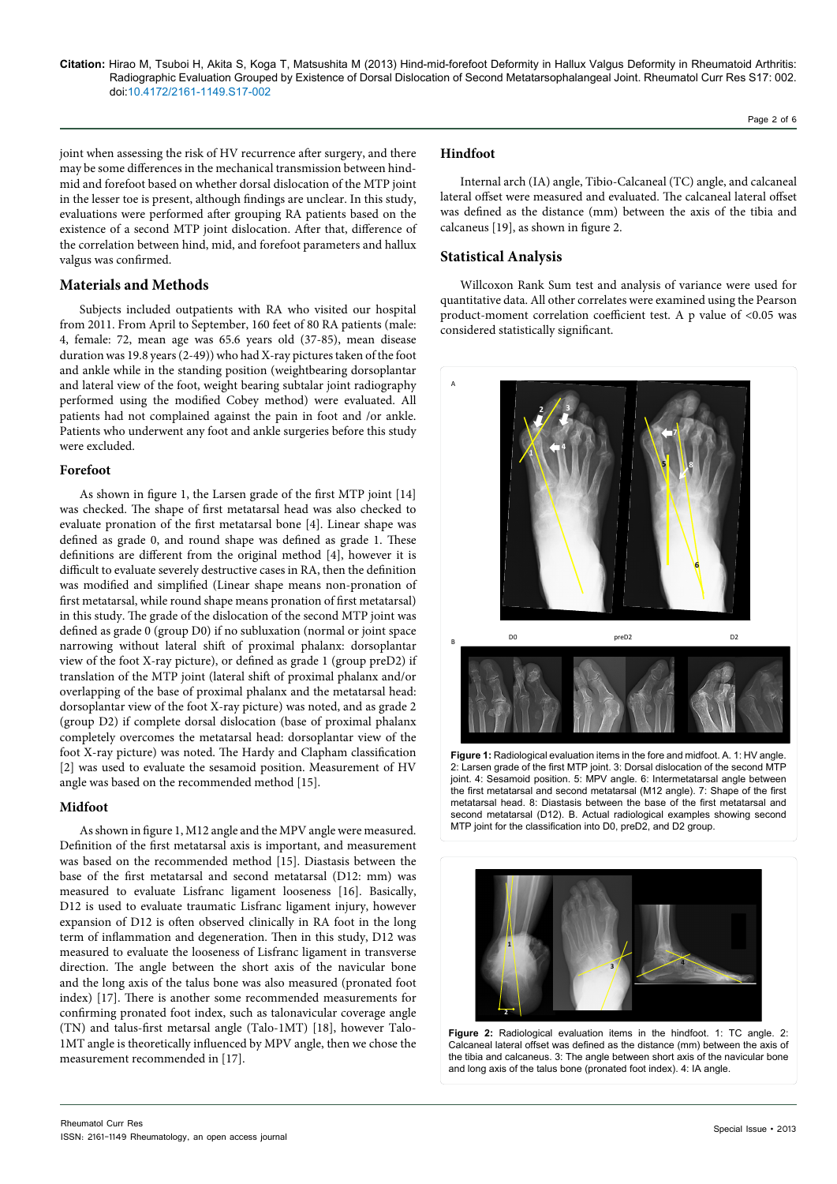joint when assessing the risk of HV recurrence after surgery, and there may be some differences in the mechanical transmission between hindmid and forefoot based on whether dorsal dislocation of the MTP joint in the lesser toe is present, although findings are unclear. In this study, evaluations were performed after grouping RA patients based on the existence of a second MTP joint dislocation. After that, difference of the correlation between hind, mid, and forefoot parameters and hallux valgus was confirmed.

# **Materials and Methods**

Subjects included outpatients with RA who visited our hospital from 2011. From April to September, 160 feet of 80 RA patients (male: 4, female: 72, mean age was 65.6 years old (37-85), mean disease duration was 19.8 years (2-49)) who had X-ray pictures taken of the foot and ankle while in the standing position (weightbearing dorsoplantar and lateral view of the foot, weight bearing subtalar joint radiography performed using the modified Cobey method) were evaluated. All patients had not complained against the pain in foot and /or ankle. Patients who underwent any foot and ankle surgeries before this study were excluded.

### **Forefoot**

As shown in figure 1, the Larsen grade of the first MTP joint [14] was checked. The shape of first metatarsal head was also checked to evaluate pronation of the first metatarsal bone [4]. Linear shape was defined as grade 0, and round shape was defined as grade 1. These definitions are different from the original method [4], however it is difficult to evaluate severely destructive cases in RA, then the definition was modified and simplified (Linear shape means non-pronation of first metatarsal, while round shape means pronation of first metatarsal) in this study. The grade of the dislocation of the second MTP joint was defined as grade 0 (group D0) if no subluxation (normal or joint space narrowing without lateral shift of proximal phalanx: dorsoplantar view of the foot X-ray picture), or defined as grade 1 (group preD2) if translation of the MTP joint (lateral shift of proximal phalanx and/or overlapping of the base of proximal phalanx and the metatarsal head: dorsoplantar view of the foot X-ray picture) was noted, and as grade 2 (group D2) if complete dorsal dislocation (base of proximal phalanx completely overcomes the metatarsal head: dorsoplantar view of the foot X-ray picture) was noted. The Hardy and Clapham classification [2] was used to evaluate the sesamoid position. Measurement of HV angle was based on the recommended method [15].

## **Midfoot**

As shown in figure 1, M12 angle and the MPV angle were measured. Definition of the first metatarsal axis is important, and measurement was based on the recommended method [15]. Diastasis between the base of the first metatarsal and second metatarsal (D12: mm) was measured to evaluate Lisfranc ligament looseness [16]. Basically, D12 is used to evaluate traumatic Lisfranc ligament injury, however expansion of D12 is often observed clinically in RA foot in the long term of inflammation and degeneration. Then in this study, D12 was measured to evaluate the looseness of Lisfranc ligament in transverse direction. The angle between the short axis of the navicular bone and the long axis of the talus bone was also measured (pronated foot index) [17]. There is another some recommended measurements for confirming pronated foot index, such as talonavicular coverage angle (TN) and talus-first metarsal angle (Talo-1MT) [18], however Talo-1MT angle is theoretically influenced by MPV angle, then we chose the measurement recommended in [17].

## **Hindfoot**

Internal arch (IA) angle, Tibio-Calcaneal (TC) angle, and calcaneal lateral offset were measured and evaluated. The calcaneal lateral offset was defined as the distance (mm) between the axis of the tibia and calcaneus [19], as shown in figure 2.

# **Statistical Analysis**

Willcoxon Rank Sum test and analysis of variance were used for quantitative data. All other correlates were examined using the Pearson product-moment correlation coefficient test. A p value of <0.05 was considered statistically significant.



2: Larsen grade of the first MTP joint. 3: Dorsal dislocation of the second MTP joint. 4: Sesamoid position. 5: MPV angle. 6: Intermetatarsal angle between the first metatarsal and second metatarsal (M12 angle). 7: Shape of the first metatarsal head. 8: Diastasis between the base of the first metatarsal and second metatarsal (D12). B. Actual radiological examples showing second MTP joint for the classification into D0, preD2, and D2 group.



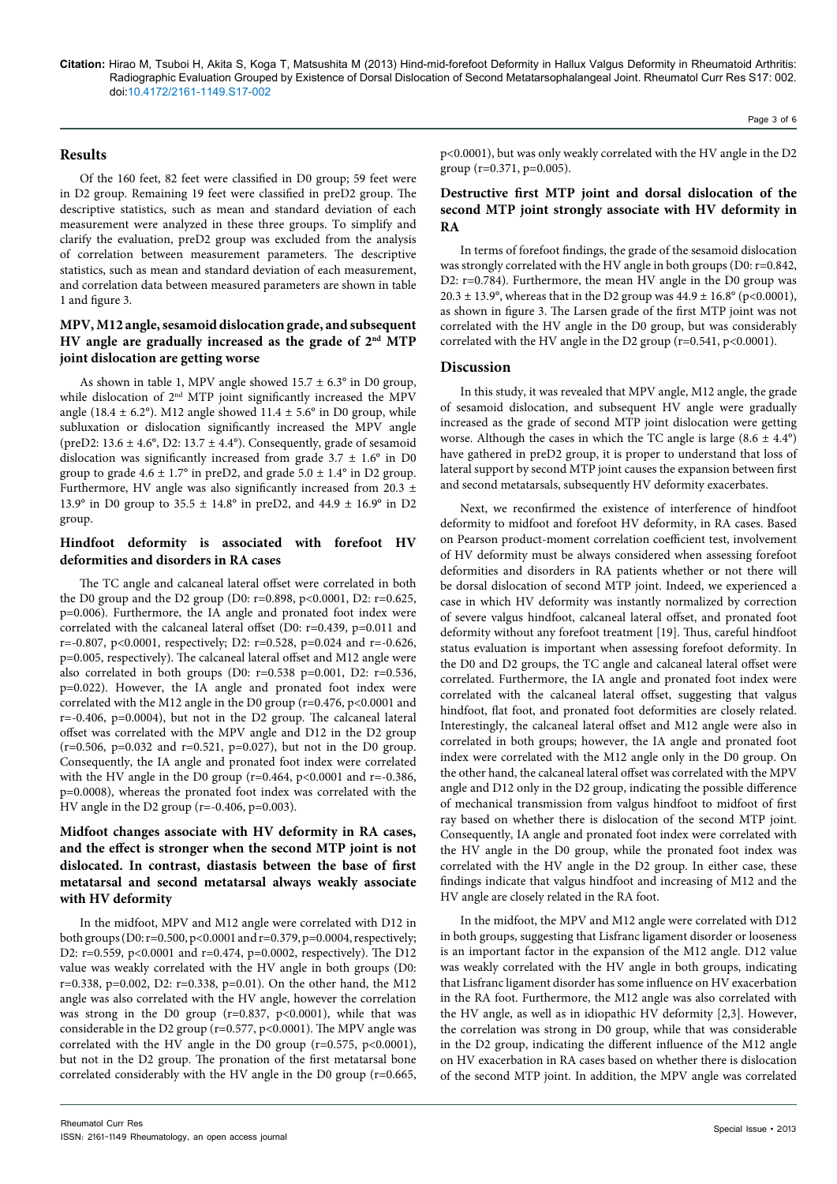## **Results**

Of the 160 feet, 82 feet were classified in D0 group; 59 feet were in D2 group. Remaining 19 feet were classified in preD2 group. The descriptive statistics, such as mean and standard deviation of each measurement were analyzed in these three groups. To simplify and clarify the evaluation, preD2 group was excluded from the analysis of correlation between measurement parameters. The descriptive statistics, such as mean and standard deviation of each measurement, and correlation data between measured parameters are shown in table 1 and figure 3.

# **MPV, M12 angle, sesamoid dislocation grade, and subsequent HV angle are gradually increased as the grade of 2nd MTP joint dislocation are getting worse**

As shown in table 1, MPV angle showed  $15.7 \pm 6.3^{\circ}$  in D0 group, while dislocation of 2<sup>nd</sup> MTP joint significantly increased the MPV angle (18.4  $\pm$  6.2°). M12 angle showed 11.4  $\pm$  5.6° in D0 group, while subluxation or dislocation significantly increased the MPV angle (preD2:  $13.6 \pm 4.6^{\circ}$ , D2:  $13.7 \pm 4.4^{\circ}$ ). Consequently, grade of sesamoid dislocation was significantly increased from grade  $3.7 \pm 1.6^{\circ}$  in D0 group to grade  $4.6 \pm 1.7^{\circ}$  in preD2, and grade  $5.0 \pm 1.4^{\circ}$  in D2 group. Furthermore, HV angle was also significantly increased from 20.3 ± 13.9° in D0 group to 35.5  $\pm$  14.8° in preD2, and 44.9  $\pm$  16.9° in D2 group.

# **Hindfoot deformity is associated with forefoot HV deformities and disorders in RA cases**

The TC angle and calcaneal lateral offset were correlated in both the D0 group and the D2 group (D0: r=0.898, p<0.0001, D2: r=0.625, p=0.006). Furthermore, the IA angle and pronated foot index were correlated with the calcaneal lateral offset (D0: r=0.439, p=0.011 and r=-0.807, p<0.0001, respectively; D2: r=0.528, p=0.024 and r=-0.626, p=0.005, respectively). The calcaneal lateral offset and M12 angle were also correlated in both groups (D0: r=0.538 p=0.001, D2: r=0.536, p=0.022). However, the IA angle and pronated foot index were correlated with the M12 angle in the D0 group (r=0.476, p<0.0001 and  $r=-0.406$ ,  $p=0.0004$ ), but not in the D2 group. The calcaneal lateral offset was correlated with the MPV angle and D12 in the D2 group (r=0.506, p=0.032 and r=0.521, p=0.027), but not in the D0 group. Consequently, the IA angle and pronated foot index were correlated with the HV angle in the D0 group ( $r=0.464$ ,  $p<0.0001$  and  $r=-0.386$ , p=0.0008), whereas the pronated foot index was correlated with the HV angle in the D2 group (r=-0.406, p=0.003).

# **Midfoot changes associate with HV deformity in RA cases, and the effect is stronger when the second MTP joint is not dislocated. In contrast, diastasis between the base of first metatarsal and second metatarsal always weakly associate with HV deformity**

In the midfoot, MPV and M12 angle were correlated with D12 in both groups (D0: r=0.500, p<0.0001 and r=0.379, p=0.0004, respectively; D2: r=0.559, p<0.0001 and r=0.474, p=0.0002, respectively). The D12 value was weakly correlated with the HV angle in both groups (D0: r=0.338, p=0.002, D2: r=0.338, p=0.01). On the other hand, the M12 angle was also correlated with the HV angle, however the correlation was strong in the D0 group ( $r=0.837$ ,  $p<0.0001$ ), while that was considerable in the D2 group (r=0.577, p<0.0001). The MPV angle was correlated with the HV angle in the D0 group ( $r=0.575$ ,  $p<0.0001$ ), but not in the D2 group. The pronation of the first metatarsal bone correlated considerably with the HV angle in the D0 group (r=0.665, p<0.0001), but was only weakly correlated with the HV angle in the D2

# **Destructive first MTP joint and dorsal dislocation of the second MTP joint strongly associate with HV deformity in RA**

In terms of forefoot findings, the grade of the sesamoid dislocation was strongly correlated with the HV angle in both groups (D0: r=0.842, D2: r=0.784). Furthermore, the mean HV angle in the D0 group was 20.3 ± 13.9°, whereas that in the D2 group was  $44.9 \pm 16.8$ ° (p<0.0001), as shown in figure 3. The Larsen grade of the first MTP joint was not correlated with the HV angle in the D0 group, but was considerably correlated with the HV angle in the D2 group (r=0.541, p<0.0001).

## **Discussion**

group (r=0.371, p=0.005).

In this study, it was revealed that MPV angle, M12 angle, the grade of sesamoid dislocation, and subsequent HV angle were gradually increased as the grade of second MTP joint dislocation were getting worse. Although the cases in which the TC angle is large  $(8.6 \pm 4.4^{\circ})$ have gathered in preD2 group, it is proper to understand that loss of lateral support by second MTP joint causes the expansion between first and second metatarsals, subsequently HV deformity exacerbates.

Next, we reconfirmed the existence of interference of hindfoot deformity to midfoot and forefoot HV deformity, in RA cases. Based on Pearson product-moment correlation coefficient test, involvement of HV deformity must be always considered when assessing forefoot deformities and disorders in RA patients whether or not there will be dorsal dislocation of second MTP joint. Indeed, we experienced a case in which HV deformity was instantly normalized by correction of severe valgus hindfoot, calcaneal lateral offset, and pronated foot deformity without any forefoot treatment [19]. Thus, careful hindfoot status evaluation is important when assessing forefoot deformity. In the D0 and D2 groups, the TC angle and calcaneal lateral offset were correlated. Furthermore, the IA angle and pronated foot index were correlated with the calcaneal lateral offset, suggesting that valgus hindfoot, flat foot, and pronated foot deformities are closely related. Interestingly, the calcaneal lateral offset and M12 angle were also in correlated in both groups; however, the IA angle and pronated foot index were correlated with the M12 angle only in the D0 group. On the other hand, the calcaneal lateral offset was correlated with the MPV angle and D12 only in the D2 group, indicating the possible difference of mechanical transmission from valgus hindfoot to midfoot of first ray based on whether there is dislocation of the second MTP joint. Consequently, IA angle and pronated foot index were correlated with the HV angle in the D0 group, while the pronated foot index was correlated with the HV angle in the D2 group. In either case, these findings indicate that valgus hindfoot and increasing of M12 and the HV angle are closely related in the RA foot.

In the midfoot, the MPV and M12 angle were correlated with D12 in both groups, suggesting that Lisfranc ligament disorder or looseness is an important factor in the expansion of the M12 angle. D12 value was weakly correlated with the HV angle in both groups, indicating that Lisfranc ligament disorder has some influence on HV exacerbation in the RA foot. Furthermore, the M12 angle was also correlated with the HV angle, as well as in idiopathic HV deformity [2,3]. However, the correlation was strong in D0 group, while that was considerable in the D2 group, indicating the different influence of the M12 angle on HV exacerbation in RA cases based on whether there is dislocation of the second MTP joint. In addition, the MPV angle was correlated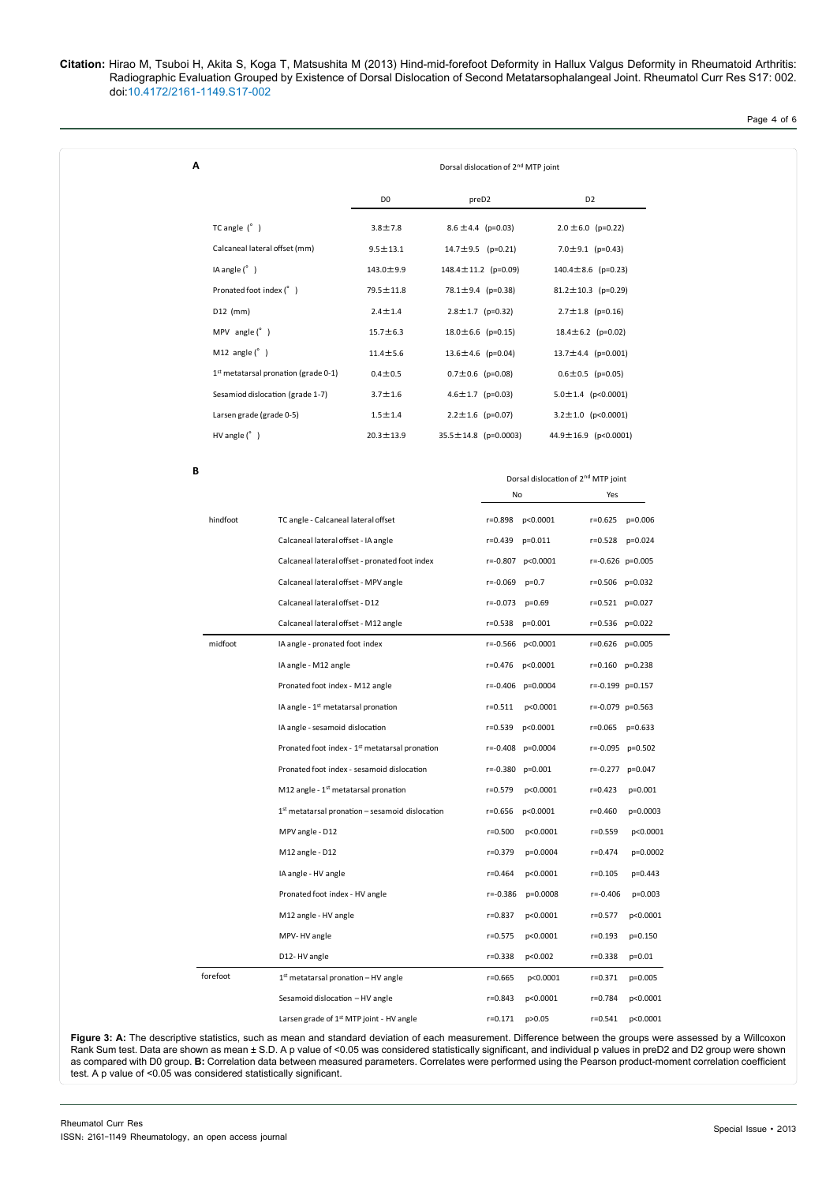Page 4 of 6

| Α |                                                              |                                                                                                                                                                                                | Dorsal dislocation of 2 <sup>nd</sup> MTP joint             |                            |                                                       |                          |                             |                      |  |
|---|--------------------------------------------------------------|------------------------------------------------------------------------------------------------------------------------------------------------------------------------------------------------|-------------------------------------------------------------|----------------------------|-------------------------------------------------------|--------------------------|-----------------------------|----------------------|--|
|   |                                                              |                                                                                                                                                                                                | D <sub>0</sub>                                              | preD2                      |                                                       |                          | D <sub>2</sub>              |                      |  |
|   | TC angle $(^{\circ}$ )                                       |                                                                                                                                                                                                | $3.8 \pm 7.8$                                               | $8.6 \pm 4.4$ (p=0.03)     |                                                       |                          | $2.0 \pm 6.0$ (p=0.22)      |                      |  |
|   | Calcaneal lateral offset (mm)                                |                                                                                                                                                                                                | $9.5 \pm 13.1$                                              | $14.7 \pm 9.5$ (p=0.21)    |                                                       |                          | 7.0 $\pm$ 9.1 (p=0.43)      |                      |  |
|   | IA angle $(^{\circ}$ )                                       |                                                                                                                                                                                                | $143.0 \pm 9.9$                                             | $148.4 \pm 11.2$ (p=0.09)  |                                                       |                          | $140.4 \pm 8.6$ (p=0.23)    |                      |  |
|   | Pronated foot index (°)                                      |                                                                                                                                                                                                | 79.5 ± 11.8                                                 | 78.1±9.4 (p=0.38)          |                                                       | 81.2 $\pm$ 10.3 (p=0.29) |                             |                      |  |
|   | D12 (mm)                                                     |                                                                                                                                                                                                | $2.4 \pm 1.4$                                               | $2.8 \pm 1.7$ (p=0.32)     |                                                       |                          | $2.7 \pm 1.8$ (p=0.16)      |                      |  |
|   | MPV angle $(°)$                                              |                                                                                                                                                                                                | $15.7 \pm 6.3$                                              | $18.0 \pm 6.6$ (p=0.15)    |                                                       |                          | $18.4 \pm 6.2$ (p=0.02)     |                      |  |
|   | M12 angle $(^{\circ}$ )                                      |                                                                                                                                                                                                | $11.4 \pm 5.6$                                              | $13.6 \pm 4.6$ (p=0.04)    |                                                       |                          | $13.7 \pm 4.4$ (p=0.001)    |                      |  |
|   |                                                              | $1st$ metatarsal pronation (grade 0-1)                                                                                                                                                         | $0.4 \pm 0.5$                                               | $0.7 \pm 0.6$ (p=0.08)     |                                                       |                          | $0.6 \pm 0.5$ (p=0.05)      |                      |  |
|   | Sesamiod dislocation (grade 1-7)<br>Larsen grade (grade 0-5) |                                                                                                                                                                                                | $3.7 \pm 1.6$                                               | $4.6 \pm 1.7$ (p=0.03)     |                                                       | $5.0 \pm 1.4$ (p<0.0001) |                             |                      |  |
|   |                                                              |                                                                                                                                                                                                | $1.5 \pm 1.4$                                               | $2.2 \pm 1.6$ (p=0.07)     |                                                       |                          | $3.2 \pm 1.0$ (p<0.0001)    |                      |  |
|   | $HV$ angle $(^{\circ}$ )                                     |                                                                                                                                                                                                | $20.3 \pm 13.9$                                             | $35.5 \pm 14.8$ (p=0.0003) |                                                       | 44.9±16.9 (p<0.0001)     |                             |                      |  |
| В |                                                              |                                                                                                                                                                                                |                                                             |                            |                                                       |                          |                             |                      |  |
|   |                                                              |                                                                                                                                                                                                |                                                             |                            | Dorsal dislocation of 2 <sup>nd</sup> MTP joint<br>No |                          |                             |                      |  |
|   |                                                              |                                                                                                                                                                                                |                                                             |                            |                                                       |                          | Yes                         |                      |  |
|   | hindfoot                                                     | TC angle - Calcaneal lateral offset                                                                                                                                                            |                                                             |                            |                                                       | r=0.898 p<0.0001         |                             | r=0.625 p=0.006      |  |
|   |                                                              | Calcaneal lateral offset - IA angle                                                                                                                                                            |                                                             |                            | r=0.439 p=0.011                                       |                          |                             | r=0.528 p=0.024      |  |
|   |                                                              |                                                                                                                                                                                                | Calcaneal lateral offset - pronated foot index              |                            |                                                       | r=-0.807 p<0.0001        |                             | $r=-0.626$ $p=0.005$ |  |
|   |                                                              | Calcaneal lateral offset - MPV angle                                                                                                                                                           |                                                             |                            | $r = -0.069$ $p = 0.7$                                |                          |                             | r=0.506 p=0.032      |  |
|   |                                                              | Calcaneal lateral offset - D12                                                                                                                                                                 |                                                             |                            | r=-0.073                                              | $p=0.69$                 |                             | $r=0.521$ $p=0.027$  |  |
|   |                                                              | Calcaneal lateral offset - M12 angle                                                                                                                                                           |                                                             |                            |                                                       | r=0.538 p=0.001          |                             | r=0.536 p=0.022      |  |
|   | midfoot                                                      | IA angle - pronated foot index                                                                                                                                                                 |                                                             |                            |                                                       | r=-0.566 p<0.0001        | r=0.626 p=0.005             |                      |  |
|   |                                                              | IA angle - M12 angle                                                                                                                                                                           |                                                             |                            |                                                       | r=0.476 p<0.0001         |                             | r=0.160 p=0.238      |  |
|   |                                                              | Pronated foot index - M12 angle                                                                                                                                                                |                                                             |                            |                                                       | r=-0.406 p=0.0004        |                             | r=-0.199 p=0.157     |  |
|   |                                                              | IA angle - 1 <sup>st</sup> metatarsal pronation<br>IA angle - sesamoid dislocation<br>Pronated foot index - 1 <sup>st</sup> metatarsal pronation<br>Pronated foot index - sesamoid dislocation |                                                             |                            |                                                       | r=0.511 p<0.0001         |                             | r=-0.079 p=0.563     |  |
|   |                                                              |                                                                                                                                                                                                |                                                             |                            |                                                       | r=0.539 p<0.0001         |                             | $r=0.065$ $p=0.633$  |  |
|   |                                                              |                                                                                                                                                                                                |                                                             |                            |                                                       | $r=-0.408$ $p=0.0004$    |                             | $r=-0.095$ $p=0.502$ |  |
|   |                                                              |                                                                                                                                                                                                |                                                             |                            |                                                       | r=-0.380 p=0.001         |                             | $r=-0.277$ $p=0.047$ |  |
|   |                                                              | M12 angle - 1 <sup>st</sup> metatarsal pronation                                                                                                                                               | 1 <sup>st</sup> metatarsal pronation - sesamoid dislocation |                            | r=0.579<br>r=0.656                                    | p<0.0001<br>p<0.0001     | $r = 0.423$<br>$r = 0.460$  | p=0.001<br>p=0.0003  |  |
|   |                                                              | MPV angle - D12                                                                                                                                                                                |                                                             |                            | r=0.500                                               | p<0.0001                 | $r = 0.559$                 | p<0.0001             |  |
|   |                                                              | M12 angle - D12                                                                                                                                                                                |                                                             |                            | r=0.379                                               | p=0.0004                 | $r = 0.474$                 | p=0.0002             |  |
|   |                                                              |                                                                                                                                                                                                |                                                             |                            |                                                       |                          |                             |                      |  |
|   |                                                              | IA angle - HV angle<br>Pronated foot index - HV angle                                                                                                                                          |                                                             |                            | r=0.464<br>r=-0.386                                   | p<0.0001<br>p=0.0008     | $r = 0.105$<br>$r = -0.406$ | p=0.443<br>p=0.003   |  |
|   |                                                              | M12 angle - HV angle                                                                                                                                                                           |                                                             |                            | r=0.837                                               | p<0.0001                 | r=0.577                     | p<0.0001             |  |
|   |                                                              | MPV-HV angle                                                                                                                                                                                   |                                                             |                            | r=0.575                                               | p<0.0001                 | $r = 0.193$                 | $p=0.150$            |  |
|   |                                                              | D12-HV angle                                                                                                                                                                                   |                                                             |                            | $r = 0.338$                                           | p<0.002                  | $r = 0.338$                 | $p=0.01$             |  |
|   | forefoot                                                     | $1st$ metatarsal pronation - HV angle                                                                                                                                                          |                                                             |                            | $r = 0.665$                                           | p<0.0001                 | r=0.371                     | p=0.005              |  |
|   |                                                              | Sesamoid dislocation - HV angle                                                                                                                                                                |                                                             |                            | r=0.843                                               | p<0.0001                 | r=0.784                     | p<0.0001             |  |
|   |                                                              | Larsen grade of 1 <sup>st</sup> MTP joint - HV angle                                                                                                                                           |                                                             |                            | r=0.171 p>0.05                                        |                          |                             | r=0.541 p<0.0001     |  |
|   |                                                              |                                                                                                                                                                                                |                                                             |                            |                                                       |                          |                             |                      |  |

Figure 3: A: The descriptive statistics, such as mean and standard deviation of each measurement. Difference between the groups were assessed by a Willcoxon Rank Sum test. Data are shown as mean ± S.D. A p value of <0.05 was considered statistically significant, and individual p values in preD2 and D2 group were shown as compared with D0 group. **B:** Correlation data between measured parameters. Correlates were performed using the Pearson product-moment correlation coefficient test. A p value of <0.05 was considered statistically significant.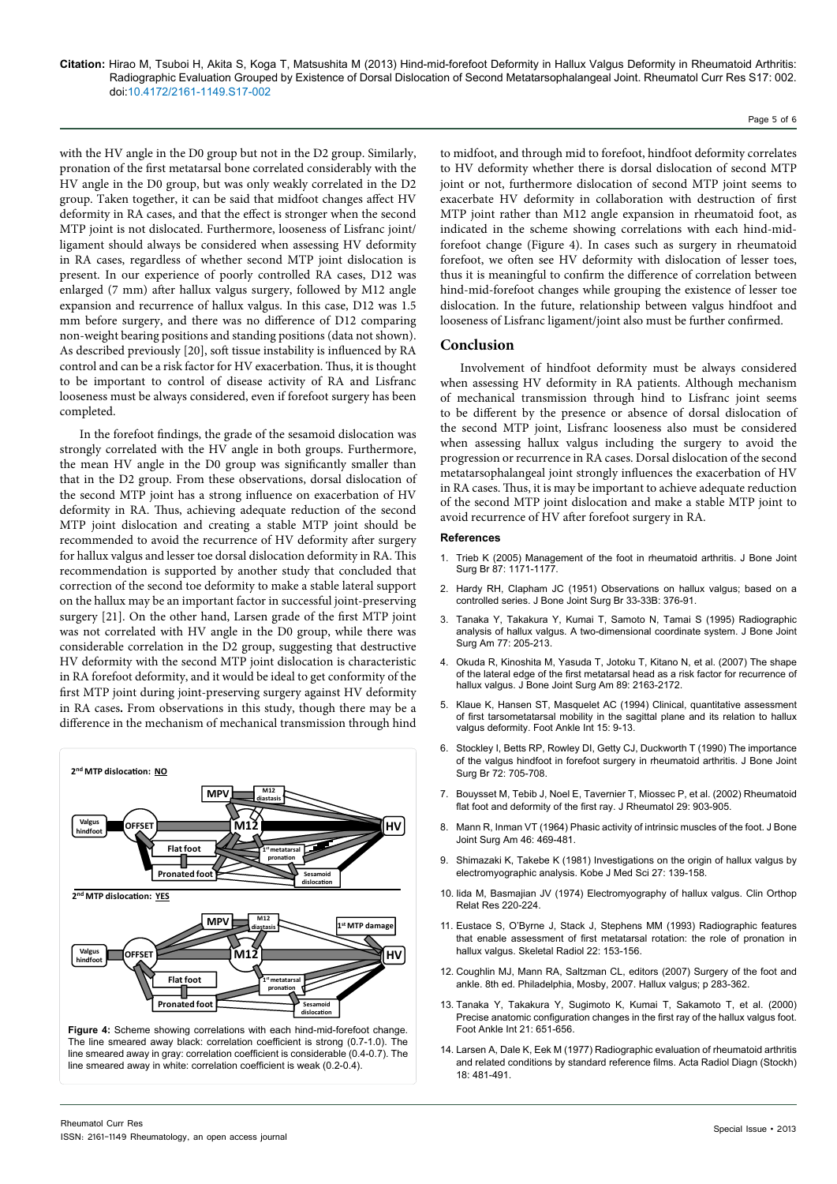with the HV angle in the D0 group but not in the D2 group. Similarly, pronation of the first metatarsal bone correlated considerably with the HV angle in the D0 group, but was only weakly correlated in the D2 group. Taken together, it can be said that midfoot changes affect HV deformity in RA cases, and that the effect is stronger when the second MTP joint is not dislocated. Furthermore, looseness of Lisfranc joint/ ligament should always be considered when assessing HV deformity in RA cases, regardless of whether second MTP joint dislocation is present. In our experience of poorly controlled RA cases, D12 was enlarged (7 mm) after hallux valgus surgery, followed by M12 angle expansion and recurrence of hallux valgus. In this case, D12 was 1.5 mm before surgery, and there was no difference of D12 comparing non-weight bearing positions and standing positions (data not shown). As described previously [20], soft tissue instability is influenced by RA control and can be a risk factor for HV exacerbation. Thus, it is thought to be important to control of disease activity of RA and Lisfranc looseness must be always considered, even if forefoot surgery has been completed.

In the forefoot findings, the grade of the sesamoid dislocation was strongly correlated with the HV angle in both groups. Furthermore, the mean HV angle in the D0 group was significantly smaller than that in the D2 group. From these observations, dorsal dislocation of the second MTP joint has a strong influence on exacerbation of HV deformity in RA. Thus, achieving adequate reduction of the second MTP joint dislocation and creating a stable MTP joint should be recommended to avoid the recurrence of HV deformity after surgery for hallux valgus and lesser toe dorsal dislocation deformity in RA. This recommendation is supported by another study that concluded that correction of the second toe deformity to make a stable lateral support on the hallux may be an important factor in successful joint-preserving surgery [21]. On the other hand, Larsen grade of the first MTP joint was not correlated with HV angle in the D0 group, while there was considerable correlation in the D2 group, suggesting that destructive HV deformity with the second MTP joint dislocation is characteristic in RA forefoot deformity, and it would be ideal to get conformity of the first MTP joint during joint-preserving surgery against HV deformity in RA cases**.** From observations in this study, though there may be a difference in the mechanism of mechanical transmission through hind



line smeared away in white: correlation coefficient is weak (0.2-0.4).

to midfoot, and through mid to forefoot, hindfoot deformity correlates to HV deformity whether there is dorsal dislocation of second MTP joint or not, furthermore dislocation of second MTP joint seems to exacerbate HV deformity in collaboration with destruction of first MTP joint rather than M12 angle expansion in rheumatoid foot, as indicated in the scheme showing correlations with each hind-midforefoot change (Figure 4). In cases such as surgery in rheumatoid forefoot, we often see HV deformity with dislocation of lesser toes, thus it is meaningful to confirm the difference of correlation between hind-mid-forefoot changes while grouping the existence of lesser toe dislocation. In the future, relationship between valgus hindfoot and looseness of Lisfranc ligament/joint also must be further confirmed.

#### **Conclusion**

Involvement of hindfoot deformity must be always considered when assessing HV deformity in RA patients. Although mechanism of mechanical transmission through hind to Lisfranc joint seems to be different by the presence or absence of dorsal dislocation of the second MTP joint, Lisfranc looseness also must be considered when assessing hallux valgus including the surgery to avoid the progression or recurrence in RA cases. Dorsal dislocation of the second metatarsophalangeal joint strongly influences the exacerbation of HV in RA cases. Thus, it is may be important to achieve adequate reduction of the second MTP joint dislocation and make a stable MTP joint to avoid recurrence of HV after forefoot surgery in RA.

#### **References**

- 1. [Trieb K \(2005\) Management of the foot in rheumatoid arthritis. J Bone Joint](http://www.ncbi.nlm.nih.gov/pubmed/16129737)  [Surg Br 87: 1171-1177.](http://www.ncbi.nlm.nih.gov/pubmed/16129737)
- 2. [Hardy RH, Clapham JC \(1951\) Observations on hallux valgus; based on a](http://www.ncbi.nlm.nih.gov/pubmed/14861244)  [controlled series. J Bone Joint Surg Br 33-33B: 376-91.](http://www.ncbi.nlm.nih.gov/pubmed/14861244)
- 3. [Tanaka Y, Takakura Y, Kumai T, Samoto N, Tamai S \(1995\) Radiographic](http://www.ncbi.nlm.nih.gov/pubmed/7844126)  [analysis of hallux valgus. A two-dimensional coordinate system. J Bone Joint](http://www.ncbi.nlm.nih.gov/pubmed/7844126)  [Surg Am 77: 205-213.](http://www.ncbi.nlm.nih.gov/pubmed/7844126)
- 4. [Okuda R, Kinoshita M, Yasuda T, Jotoku T, Kitano N, et al. \(2007\) The shape](http://www.ncbi.nlm.nih.gov/pubmed/17908892)  [of the lateral edge of the first metatarsal head as a risk factor for recurrence of](http://www.ncbi.nlm.nih.gov/pubmed/17908892)  [hallux valgus. J Bone Joint Surg Am 89: 2163-2172.](http://www.ncbi.nlm.nih.gov/pubmed/17908892)
- 5. [Klaue K, Hansen ST, Masquelet AC \(1994\) Clinical, quantitative assessment](http://www.ncbi.nlm.nih.gov/pubmed/7981800)  [of first tarsometatarsal mobility in the sagittal plane and its relation to hallux](http://www.ncbi.nlm.nih.gov/pubmed/7981800)  [valgus deformity. Foot Ankle Int 15: 9-13.](http://www.ncbi.nlm.nih.gov/pubmed/7981800)
- 6. [Stockley I, Betts RP, Rowley DI, Getty CJ, Duckworth T \(1990\) The importance](http://www.ncbi.nlm.nih.gov/pubmed/2380232)  [of the valgus hindfoot in forefoot surgery in rheumatoid arthritis. J Bone Joint](http://www.ncbi.nlm.nih.gov/pubmed/2380232)  [Surg Br 72: 705-708.](http://www.ncbi.nlm.nih.gov/pubmed/2380232)
- 7. [Bouysset M, Tebib J, Noel E, Tavernier T, Miossec P, et al. \(2002\) Rheumatoid](http://www.ncbi.nlm.nih.gov/pubmed/12022347)  [flat foot and deformity of the first ray. J Rheumatol 29: 903-905.](http://www.ncbi.nlm.nih.gov/pubmed/12022347)
- 8. [Mann R, Inman VT \(1964\) Phasic activity of intrinsic muscles of the foot. J Bone](http://www.ncbi.nlm.nih.gov/pubmed/14131426)  [Joint Surg Am 46: 469-481.](http://www.ncbi.nlm.nih.gov/pubmed/14131426)
- 9. [Shimazaki K, Takebe K \(1981\) Investigations on the origin of hallux valgus by](http://www.ncbi.nlm.nih.gov/pubmed/7321485)  [electromyographic analysis. Kobe J Med Sci 27: 139-158.](http://www.ncbi.nlm.nih.gov/pubmed/7321485)
- 10. [Iida M, Basmajian JV \(1974\) Electromyography of hallux valgus. Clin Orthop](http://www.ncbi.nlm.nih.gov/pubmed/4837934)  [Relat Res 220-224.](http://www.ncbi.nlm.nih.gov/pubmed/4837934)
- 11. [Eustace S, O'Byrne J, Stack J, Stephens MM \(1993\) Radiographic features](http://www.ncbi.nlm.nih.gov/pubmed/8480199)  [that enable assessment of first metatarsal rotation: the role of pronation in](http://www.ncbi.nlm.nih.gov/pubmed/8480199)  [hallux valgus. Skeletal Radiol 22: 153-156.](http://www.ncbi.nlm.nih.gov/pubmed/8480199)
- 12. Coughlin MJ, Mann RA, Saltzman CL, editors (2007) Surgery of the foot and ankle. 8th ed. Philadelphia, Mosby, 2007. Hallux valgus; p 283-362.
- 13. [Tanaka Y, Takakura Y, Sugimoto K, Kumai T, Sakamoto T, et al. \(2000\)](http://www.ncbi.nlm.nih.gov/pubmed/10966362)  [Precise anatomic configuration changes in the first ray of the hallux valgus foot.](http://www.ncbi.nlm.nih.gov/pubmed/10966362)  [Foot Ankle Int 21: 651-656.](http://www.ncbi.nlm.nih.gov/pubmed/10966362)
- 14. [Larsen A, Dale K, Eek M \(1977\) Radiographic evaluation of rheumatoid arthritis](http://www.ncbi.nlm.nih.gov/pubmed/920239)  [and related conditions by standard reference films. Acta Radiol Diagn \(Stockh\)](http://www.ncbi.nlm.nih.gov/pubmed/920239)  [18: 481-491.](http://www.ncbi.nlm.nih.gov/pubmed/920239)